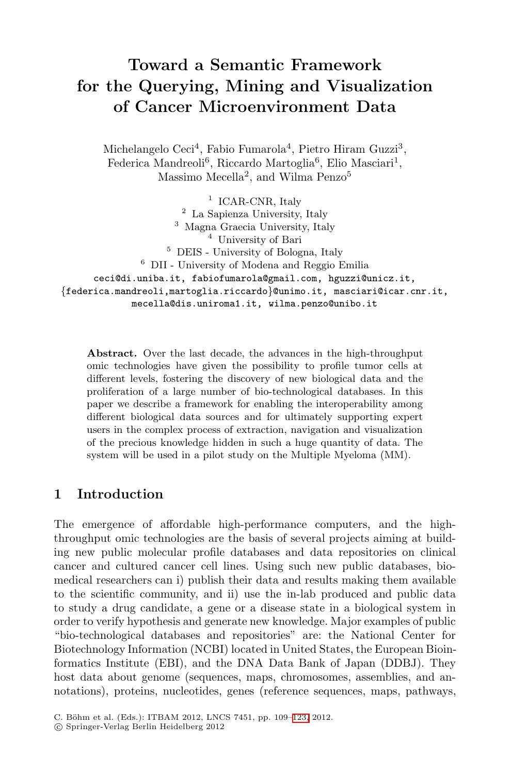# **Toward a Semantic Framework for the Querying, Mining and Visualization of Cancer Microenvironment Data**

Michelangelo Ceci<sup>4</sup>, Fabio Fumarola<sup>4</sup>, Pietro Hiram Guzzi<sup>3</sup>, Federica Mandreoli<sup>6</sup>, Riccardo Martoglia<sup>6</sup>, Elio Masciari<sup>1</sup>, Massimo Mecella<sup>2</sup>, and Wilma Penzo<sup>5</sup>

 ICAR-CNR, Italy La Sapienza University, Italy Magna Graecia University, Italy University of Bari DEIS - University of Bologna, Italy DII - University of Modena and Reggio Emilia ceci@di.uniba.it, fabiofumarola@gmail.com, hguzzi@unicz.it, *{*federica.mandreoli,martoglia.riccardo*}*@unimo.it, masciari@icar.cnr.it, mecella@dis.uniroma1.it, wilma.penzo@unibo.it

**Abstract.** Over the last decade, the advances in the high-throughput omic technologies have given the possibility to profile tumor cells at different levels, fostering the discovery of new biological data and the proliferation of a large number of bio-technological databases. In this paper we describe a framework for enabling the interoperability among different biological data sources and for ultimately supporting expert users in the complex process of extraction, navigation and visualization of the precious knowledge hidden in such a huge quantity of data. The system will be used in a pilot study on the Multiple Myeloma (MM).

### **1 Introduction**

The emergence of affordable high-performance computers, and the highthroughput omic technologies are the basis of several projects aiming at building new public molecular profile databases and data repositories on clinical cancer and cultured cancer cell lines. Using such new public databases, biomedical researchers can i) publish their data and results making them available to the scientific community, and ii) use the in-lab produced and public data to study a drug candidate, [a ge](#page-14-0)ne or a disease state in a biological system in order to verify hypothesis and generate new knowledge. Major examples of public "bio-technological databases and repositories" are: the National Center for Biotechnology Information (NCBI) located in United States, the European Bioinformatics Institute (EBI), and the DNA Data Bank of Japan (DDBJ). They host data about genome (sequences, maps, chromosomes, assemblies, and annotations), proteins, nucleotides, genes (reference sequences, maps, pathways,

C. Böhm et al. (Eds.): ITBAM 2012, LNCS 7451, pp. 109-123, 2012.

<sup>-</sup>c Springer-Verlag Berlin Heidelberg 2012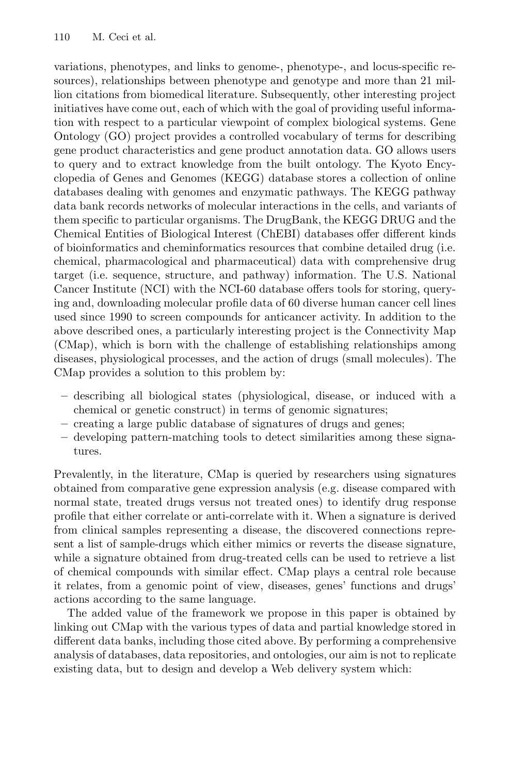variations, phenotypes, and links to genome-, phenotype-, and locus-specific resources), relationships between phenotype and genotype and more than 21 million citations from biomedical literature. Subsequently, other interesting project initiatives have come out, each of which with the goal of providing useful information with respect to a particular viewpoint of complex biological systems. Gene Ontology (GO) project provides a controlled vocabulary of terms for describing gene product characteristics and gene product annotation data. GO allows users to query and to extract knowledge from the built ontology. The Kyoto Encyclopedia of Genes and Genomes (KEGG) database stores a collection of online databases dealing with genomes and enzymatic pathways. The KEGG pathway data bank records networks of molecular interactions in the cells, and variants of them specific to particular organisms. The DrugBank, the KEGG DRUG and the Chemical Entities of Biological Interest (ChEBI) databases offer different kinds of bioinformatics and cheminformatics resources that combine detailed drug (i.e. chemical, pharmacological and pharmaceutical) data with comprehensive drug target (i.e. sequence, structure, and pathway) information. The U.S. National Cancer Institute (NCI) with the NCI-60 database offers tools for storing, querying and, downloading molecular profile data of 60 diverse human cancer cell lines used since 1990 to screen compounds for anticancer activity. In addition to the above described ones, a particularly interesting project is the Connectivity Map (CMap), which is born with the challenge of establishing relationships among diseases, physiological processes, and the action of drugs (small molecules). The CMap provides a solution to this problem by:

- **–** describing all biological states (physiological, disease, or induced with a chemical or genetic construct) in terms of genomic signatures;
- **–** creating a large public database of signatures of drugs and genes;
- **–** developing pattern-matching tools to detect similarities among these signatures.

Prevalently, in the literature, CMap is queried by researchers using signatures obtained from comparative gene expression analysis (e.g. disease compared with normal state, treated drugs versus not treated ones) to identify drug response profile that either correlate or anti-correlate with it. When a signature is derived from clinical samples representing a disease, the discovered connections represent a list of sample-drugs which either mimics or reverts the disease signature, while a signature obtained from drug-treated cells can be used to retrieve a list of chemical compounds with similar effect. CMap plays a central role because it relates, from a genomic point of view, diseases, genes' functions and drugs' actions according to the same language.

The added value of the framework we propose in this paper is obtained by linking out CMap with the various types of data and partial knowledge stored in different data banks, including those cited above. By performing a comprehensive analysis of databases, data repositories, and ontologies, our aim is not to replicate existing data, but to design and develop a Web delivery system which: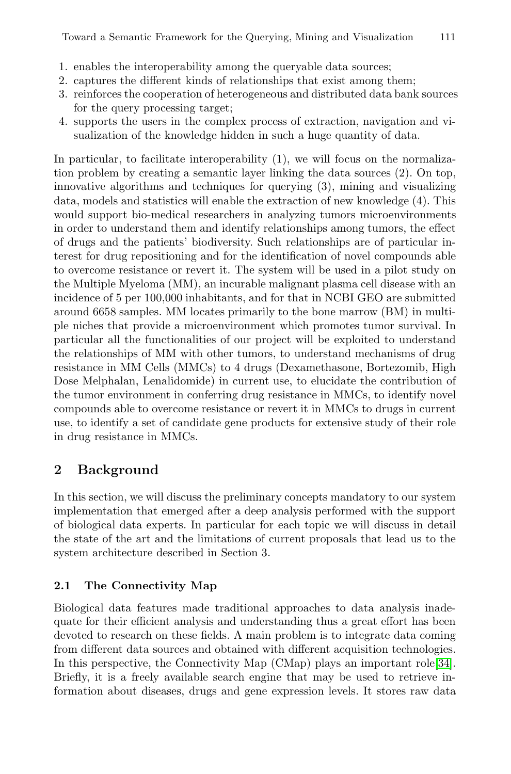Toward a Semantic Framework for the Querying, Mining and Visualization 111

- 1. enables the interoperability among the queryable data sources;
- 2. captures the different kinds of relationships that exist among them;
- 3. reinforces the cooperation of heterogeneous and distributed data bank sources for the query processing target;
- 4. supports the users in the complex process of extraction, navigation and visualization of the knowledge hidden in such a huge quantity of data.

In particular, to facilitate interoperability  $(1)$ , we will focus on the normalization problem by creating a semantic layer linking the data sources (2). On top, innovative algorithms and techniques for querying (3), mining and visualizing data, models and statistics will enable the extraction of new knowledge (4). This would support bio-medical researchers in analyzing tumors microenvironments in order to understand them and identify relationships among tumors, the effect of drugs and the patients' biodiversity. Such relationships are of particular interest for drug repositioning and for the identification of novel compounds able to overcome resistance or revert it. The system will be used in a pilot study on the Multiple Myeloma (MM), an incurable malignant plasma cell disease with an incidence of 5 per 100,000 inhabitants, and for that in NCBI GEO are submitted around 6658 samples. MM locates primarily to the bone marrow (BM) in multiple niches that provide a microenvironment which promotes tumor survival. In particular all the functionalities of our project will be exploited to understand the relationships of MM with other tumors, to understand mechanisms of drug resistance in MM Cells (MMCs) to 4 drugs (Dexamethasone, Bortezomib, High Dose Melphalan, Lenalidomide) in current use, to elucidate the contribution of the tumor environment in conferring drug resistance in MMCs, to identify novel compounds able to overcome resistance or revert it in MMCs to drugs in current use, to identify a set of candidate gene products for extensive study of their role in drug resistance in MMCs.

### **2 Background**

In this section, we will discuss the preliminary concepts mandatory to our system implementation that emerged after a deep analysis performed with the support of biological data experts. In particular for each topic we will discuss in detail the state of the art and the limitations of current proposals that lead us to the system architecture described in Section 3.

### **2.1 The Connectivity Map**

Biological data features made traditional approaches to data analysis inadequate for their efficient analysis and understanding thus a great effort has been devoted to research on these fields. A main problem is to integrate data coming from different data sources and obtained with different acquisition technologies. In this perspective, the Connectivity Map (CMap) plays an important role[34]. Briefly, it is a freely available search engine that may be used to retrieve information about diseases, drugs and gene expression levels. It stores raw data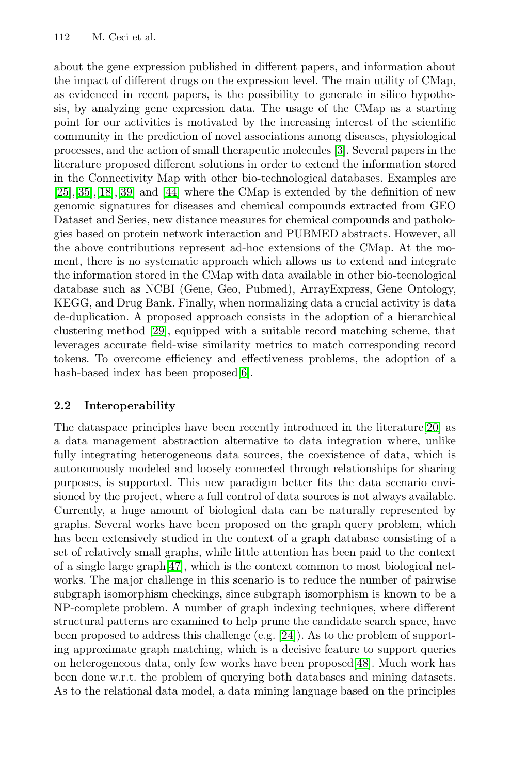#### 112 M. Ceci et al.

about the gene expression published in different papers, and information about the [imp](#page-14-1)act of different drugs on the expression level. The main utility of CMap, as evidenced in recent papers, is the possibility to generate in silico hypothesis, by analyzing gene expression data. The usage of the CMap as a starting point for our activities is motivated by the increasing interest of the scientific community in the prediction of novel associations among diseases, physiological processes, and the action of small therapeutic molecules [3]. Several papers in the literature proposed different solutions in order to extend the information stored in the Connectivity Map with other bio-technological databases. Examples are  $[25],[35],[18],[39]$  and  $[44]$  where the CMap is extended by the definition of new genomic signatures for diseases and chemical compounds extracted from GEO [Data](#page-13-0)set and Series, new distance measures for chemical compounds and pathologies based on protein network interaction and PUBMED abstracts. However, all the above contributions represent ad-hoc extensions of the CMap. At the moment, there is no s[ys](#page-12-0)tematic approach which allows us to extend and integrate the information stored in the CMap with data available in other bio-tecnological database such as NCBI (Gene, Geo, Pubmed), ArrayExpress, Gene Ontology, KEGG, and Drug Bank. Finally, when normalizing data a crucial activity is data de-duplication. A proposed approach consists in the a[dop](#page-13-1)tion of a hierarchical clustering method [29], equipped with a suitable record matching scheme, that leverages accurate field-wise similarity metrics to match corresponding record tokens. To overcome efficiency and effectiveness problems, the adoption of a hash-based index has been proposed[6].

#### **2.2 Interoperability**

The dataspace principles have been recently introduced in the literature[20] as a data management abstraction alternative to data integration where, unlike fully [int](#page-14-2)egrating heterogeneous data sources, the coexistence of data, which is autonomously modeled and loosely connected through relationships for sharing purposes, is supported. This new paradigm better fits the data scenario envisioned by the project, where a full control of data sources is not always available. Currently, a huge amount of biological data can be naturally represented by graphs. Several works hav[e be](#page-13-2)en proposed on the graph query problem, which has been extensively studied in the context of a graph database consisting of a set of relatively small graphs, while little [atte](#page-14-3)ntion has been paid to the context of a single large graph[47], which is the context common to most biological networks. The major challenge in this scenario is to reduce the number of pairwise subgraph isomorphism checkings, since subgraph isomorphism is known to be a NP-complete problem. A number of graph indexing techniques, where different structural patterns are examined to help prune the candidate search space, have been proposed to address this challenge (e.g. [24]). As to the problem of supporting approximate graph matching, which is a decisive feature to support queries on heterogeneous data, only few works have been proposed[48]. Much work has been done w.r.t. the problem of querying both databases and mining datasets. As to the relational data model, a data mining language based on the principles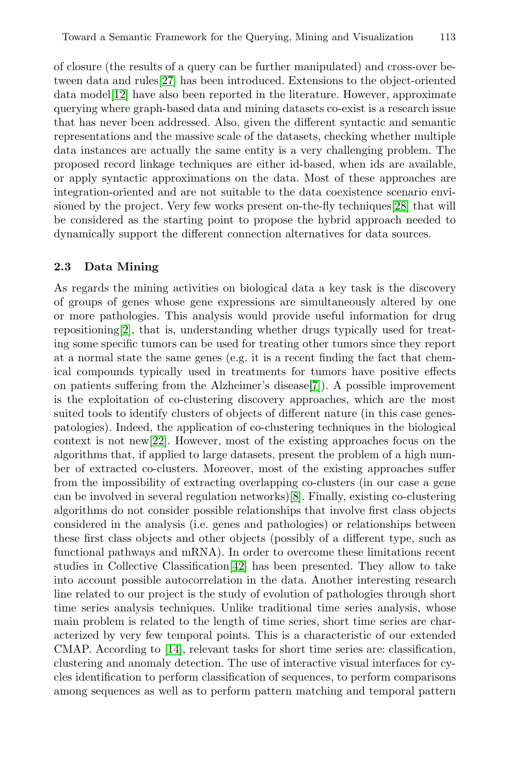of closure (the results of a query can be further manipulated) and cross-over between data and rules[27] has been introduced. Extensions to the object-oriented data model[12] have also been reported in the lit[erat](#page-13-3)ure. However, approximate querying where graph-based data and mining datasets co-exist is a research issue that has never been addressed. Also, given the different syntactic and semantic representations and the massive scale of the datasets, checking whether multiple data instances are actually the same entity is a very challenging problem. The proposed record linkage techniques are either id-based, when ids are available, or apply syntactic approximations on the data. Most of these approaches are integration-oriented and are not suitable to the data coexistence scenario envisioned by the project. Very few works present on-the-fly techniques[28] that will be considered as the starting point to propose the hybrid approach needed to dynamically support the different connection alternatives for data sources.

### **2.3 Data Mining**

As regards the mining activities [o](#page-12-1)n biological data a key task is the discovery of groups of genes whose gene expressions are simultaneously altered by one or more pathologies. This analysis would provide useful information for drug r[epo](#page-13-4)sitioning[2], that is, understanding whether drugs typically used for treating some specific tumors can be used for treating other tumors since they report at a normal state the same genes (e.g. it is a recent finding the fact that chemical compounds typically used in treatments for tumors have positive effects on patients suffering from t[he](#page-12-2) Alzheimer's disease[7]). A possible improvement is the exploitation of co-clustering discovery approaches, which are the most suited tools to identify clusters of objects of different nature (in this case genespatologies). Indeed, the application of co-clustering techniques in the biological context is not new[22]. However, most of the existing approaches focus on the algorithms that, [if a](#page-14-4)pplied to large datasets, present the problem of a high number of extracted co-clusters. Moreover, most of the existing approaches suffer from the impossibility of extracting overlapping co-clusters (in our case a gene can be involved in several regulation networks)[8]. Finally, existing co-clustering algorithms do not consider possible relationships that involve first class objects considered in the analysis (i.e. genes and pathologies) or relationships between thes[e fi](#page-12-3)rst class objects and other objects (possibly of a different type, such as functional pathways and mRNA). In order to overcome these limitations recent studies in Collective Classification[42] has been presented. They allow to take into account possible autocorrelation in the data. Another interesting research line related to our project is the study of evolution of pathologies through short time series analysis techniques. Unlike traditional time series analysis, whose main problem is related to the length of time series, short time series are characterized by very few temporal points. This is a characteristic of our extended CMAP. According to [14], relevant tasks for short time series are: classification, clustering and anomaly detection. The use of interactive visual interfaces for cycles identification to perform classification of sequences, to perform comparisons among sequences as well as to perform pattern matching and temporal pattern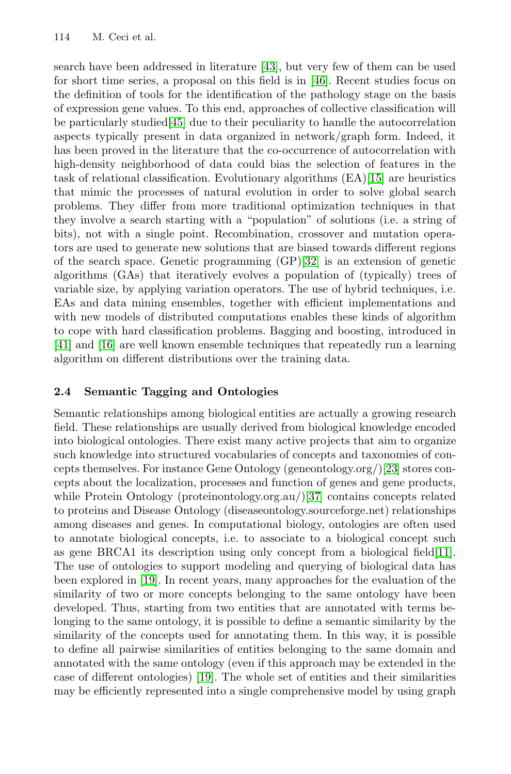#### 114 M. Ceci et al.

search have been addressed in literature [43[\], b](#page-13-5)ut very few of them can be used for short time series, a proposal on this field is in [46]. Recent studies focus on the definition of tools for the identification of the pathology stage on the basis of expression gene values. To this end, approaches of collective classification will be particularly studied[45] due to their peculiarity to handle the autocorrelation aspects typically present in data organized in network/graph form. Indeed, it has been proved in the literatu[re t](#page-13-6)hat the co-occurrence of autocorrelation with high-density neighborhood of data could bias the selection of features in the task of relational classification. Evolutionary algorithms (EA)[15] are heuristics that mimic the processes of natural evolution in order to solve global search problems. They differ from more traditional optimization techniques in that they involve a search starting with a "population" of solutions (i.e. a string of bits), not with a single point. Recombination, crossover and mutation operators are used to generate new solutions that are biased towards different regions of the search space. Genetic programming (GP)[32] is an extension of genetic algorithms (GAs) that iteratively evolves a population of (typically) trees of variable size, by applying variation operators. The use of hybrid techniques, i.e. EAs and data mining ensembles, together with efficient implementations and with new models of distributed computations enables these kinds of algorithm to cope with hard classification problems. Bagging and boosting, introduced in [41] and [16] are well known ensemble techniques that repeatedly run a learning algorithm on different distributions over the tr[aini](#page-13-7)ng data.

### **2.4 Semantic Tagging and [On](#page-14-5)tologies**

Semantic relationships among biological entities are actually a growing research field. These relationships are usually derived from biological knowledge encoded into biological ontologies. There exist many active project[s th](#page-12-4)at aim to organize such knowledge into structured vocabularies of concepts and taxonomies of con[cep](#page-13-8)ts themselves. For instance Gene Ontology (geneontology.org/)[23] stores concepts about the localization, processes and function of genes and gene products, while Protein Ontology (proteinontology.org.au/)[37] contains concepts related to proteins and Disease Ontology (diseaseontology.sourceforge.net) relationships among diseases and genes. In computational biology, ontologies are often used to annotate biological concepts, i.e. to associate to a biological concept such as gene BRCA1 its description using only concept from a biological field[11]. The use o[f on](#page-13-8)tologies to support modeling and querying of biological data has been explored in [19]. In recent years, many approaches for the evaluation of the similarity of two or more concepts belonging to the same ontology have been developed. Thus, starting from two entities that are annotated with terms belonging to the same ontology, it is possible to define a semantic similarity by the similarity of the concepts used for annotating them. In this way, it is possible to define all pairwise similarities of entities belonging to the same domain and annotated with the same ontology (even if this approach may be extended in the case of different ontologies) [19]. The whole set of entities and their similarities may be efficiently represented into a single comprehensive model by using graph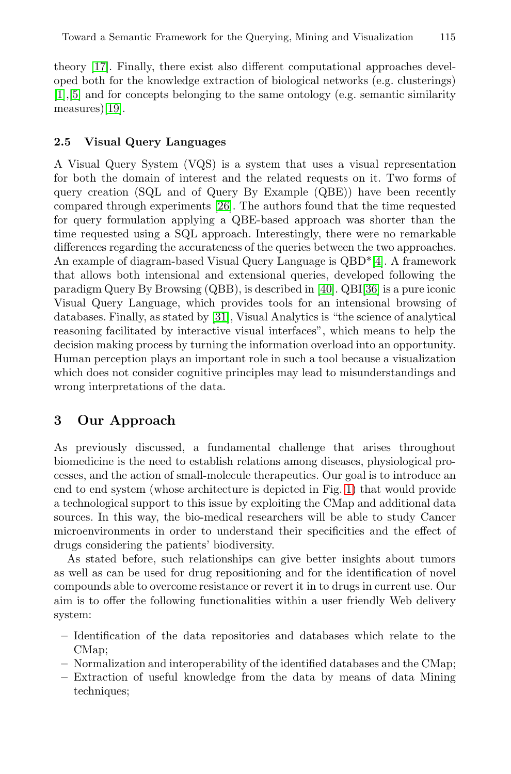theory [17]. Finally, there exist also different computational approaches developed both for the knowledge extraction of biological networks (e.g. clusterings) [1],[5] and for [con](#page-13-9)cepts belonging to the same ontology (e.g. semantic similarity measures)[19].

### **2.5 Visual Query Languages**

A Visual Query System (VQS) is a system [th](#page-12-5)at uses a visual representation for both the domain of interest a[nd](#page-14-6) the r[elat](#page-14-7)ed requests on it. Two forms of query creation (SQL and of Query By Example (QBE)) have been recently compared thr[oug](#page-13-10)h experiments [26]. The authors found that the time requested for query formulation applying a QBE-based approach was shorter than the time requested using a SQL approach. Interestingly, there were no remarkable differences regarding the accurateness of the queries between the two approaches. An example of diagram-based Visual Query Language is QBD\*[4]. A framework that allows both intensional and extensional queries, developed following the paradigm Query By Browsing (QBB), is described in [40]. QBI[36] is a pure iconic Visual Query Language, which provides tools for an intensional browsing of databases. Finally, as stated by [31], Visual Analytics is "the science of analytical reasoning facilitated by interactive visual interfaces", which means to help the decision making process by turning the information overload into an opportunity. Human perception plays an important role in such a tool because a visualization which does not consider cognitive princi[pl](#page-7-0)es may lead to misunderstandings and wrong interpretations of the data.

### **3 Our Approach**

As previously discussed, a fundamental challenge that arises throughout biomedicine is the need to establish relations among diseases, physiological processes, and the action of small-molecule therapeutics. Our goal is to introduce an end to end system (whose architecture is depicted in Fig. 1) that would provide a technological support to this issue by exploiting the CMap and additional data sources. In this way, the bio-medical researchers will be able to study Cancer microenvironments in order to understand their specificities and the effect of drugs considering the patients' biodiversity.

As stated before, such relationships can give better insights about tumors as well as can be used for drug repositioning and for the identification of novel compounds able to overcome resistance or revert it in to drugs in current use. Our aim is to offer the following functionalities within a user friendly Web delivery system:

- **–** Identification of the data repositories and databases which relate to the CMap;
- **–** Normalization and interoperability of the identified databases and the CMap;
- **–** Extraction of useful knowledge from the data by means of data Mining techniques;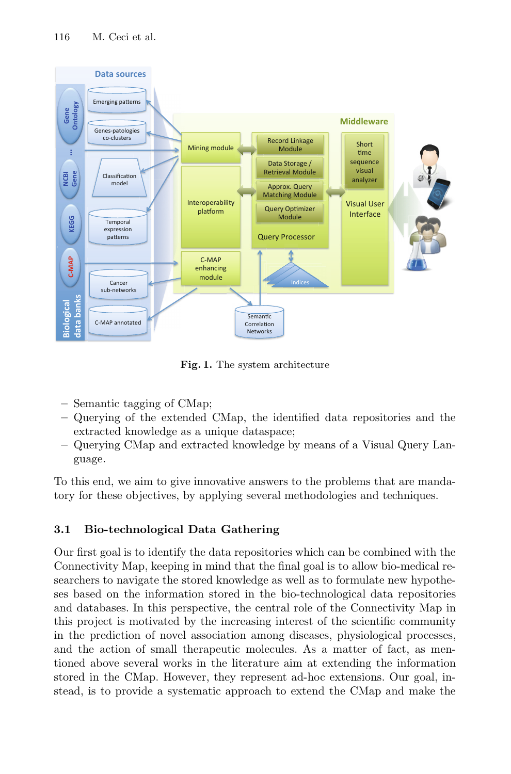

<span id="page-7-0"></span>**Fig. 1.** The system architecture

- **–** Semantic tagging of CMap;
- **–** Querying of the extended CMap, the identified data repositories and the extracted knowledge as a unique dataspace;
- **–** Querying CMap and extracted knowledge by means of a Visual Query Language.

To this end, we aim to give innovative answers to the problems that are mandatory for these objectives, by applying several methodologies and techniques.

### **3.1 Bio-technological Data Gathering**

Our first goal is to identify the data repositories which can be combined with the Connectivity Map, keeping in mind that the final goal is to allow bio-medical researchers to navigate the stored knowledge as well as to formulate new hypotheses based on the information stored in the bio-technological data repositories and databases. In this perspective, the central role of the Connectivity Map in this project is motivated by the increasing interest of the scientific community in the prediction of novel association among diseases, physiological processes, and the action of small therapeutic molecules. As a matter of fact, as mentioned above several works in the literature aim at extending the information stored in the CMap. However, they represent ad-hoc extensions. Our goal, instead, is to provide a systematic approach to extend the CMap and make the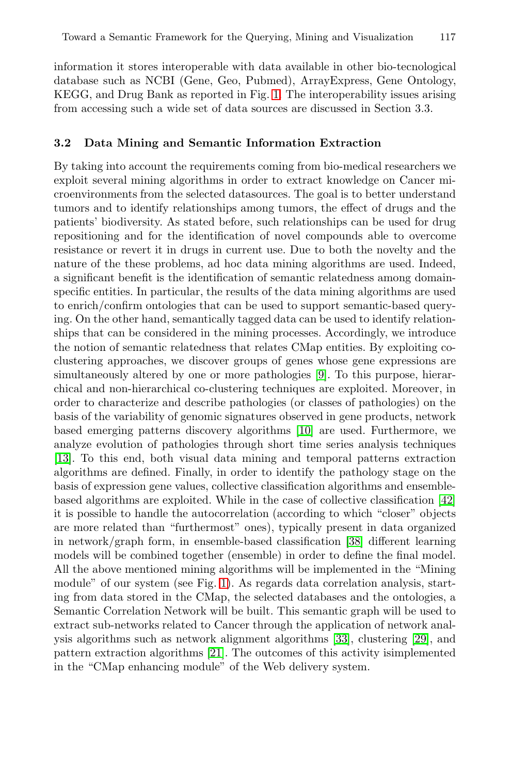information it stores interoperable with data available in other bio-tecnological database such as NCBI (Gene, Geo, Pubmed), ArrayExpress, Gene Ontology, KEGG, and Drug Bank as reported in Fig. 1. The interoperability issues arising from accessing such a wide set of data sources are discussed in Section 3.3.

### **3.2 Data Mining and Semantic Information Extraction**

By taking into account the requirements coming from bio-medical researchers we exploit several mining algorithms in order to extract knowledge on Cancer microenvironments from the selected datasources. The goal is to better understand tumors and to identify relationships among tumors, the effect of drugs and the patients' biodiversity. As stated before, such relationships can be used for drug repositioning and for the identification of novel compounds able to overcome resistance or revert it in drugs in current use. Due to both the novelty and the nature of the these problems, ad [ho](#page-12-6)c data mining algorithms are used. Indeed, a significant benefit is the identification of semantic relatedness among domainspecific entities. In particular, the results of the data mining algorithms are used to enrich/confirm ontologies that can be used to support semantic-based querying. On the other hand, seman[tica](#page-12-7)lly tagged data can be used to identify relationships that can be considered in the mining processes. Accordingly, we introduce the notion of semantic relatedness that relates CMap entities. By exploiting coclustering approaches, we discover groups of genes whose gene expressions are simultaneously altered by one or more pathologies [9]. To this purpose, hierarchical and non-hierarchical co-clustering techniques are ex[plo](#page-14-4)ited. Moreover, in order to characterize and describe pathologies (or classes of pathologies) on the basis of the variability of genomic signatures observed in gene products, network based emerging patterns discovery alg[orith](#page-14-8)ms [10] are used. Furthermore, we analyze evolution of pathologies through short time series analysis techniques [13]. To this end, both visual data mining and temporal patterns extraction algorithms are [d](#page-7-0)efined. Finally, in order to identify the pathology stage on the basis of expression gene values, collective classification algorithms and ensemblebased algorithms are exploited. While in the case of collective classification [42] it is possible to handle the autocorrelation (according to which "closer" objects are more related than "furthermost" [one](#page-14-9)s), typically [pr](#page-13-0)esent in data organized in network/[grap](#page-13-11)h form, in ensemble-based classification [38] different learning models will be combined together (ensemble) in order to define the final model. All the above mentioned mining algorithms will be implemented in the "Mining module" of our system (see Fig. 1). As regards data correlation analysis, starting from data stored in the CMap, the selected databases and the ontologies, a Semantic Correlation Network will be built. This semantic graph will be used to extract sub-networks related to Cancer through the application of network analysis algorithms such as network alignment algorithms [33], clustering [29], and pattern extraction algorithms [21]. The outcomes of this activity isimplemented in the "CMap enhancing module" of the Web delivery system.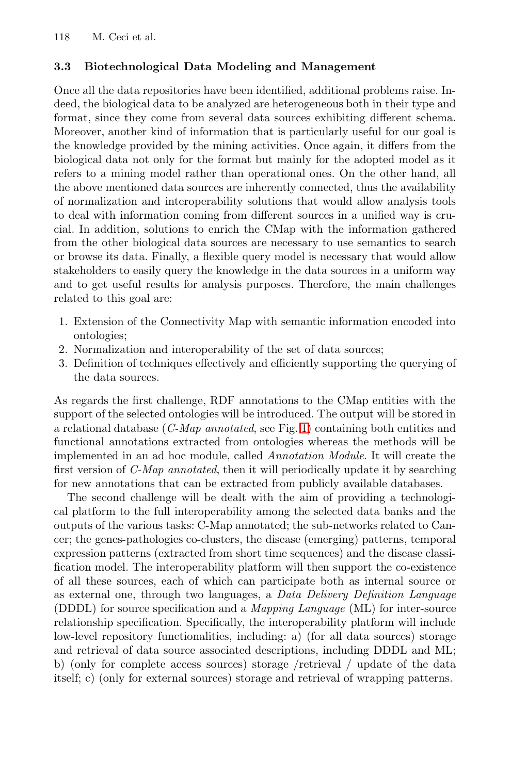#### 118 M. Ceci et al.

### **3.3 Biotechnological Data Modeling and Management**

Once all the data repositories have been identified, additional problems raise. Indeed, the biological data to be analyzed are heterogeneous both in their type and format, since they come from several data sources exhibiting different schema. Moreover, another kind of information that is particularly useful for our goal is the knowledge provided by the mining activities. Once again, it differs from the biological data not only for the format but mainly for the adopted model as it refers to a mining model rather than operational ones. On the other hand, all the above mentioned data sources are inherently connected, thus the availability of normalization and interoperability solutions that would allow analysis tools to deal with information coming from different sources in a unified way is crucial. In addition, solutions to enrich the CMap with the information gathered from the other biological data sources are necessary to use semantics to search or browse its data. Finally, a flexible query model is necessary that would allow stakeholders to easily query the knowledge in the data sources in a uniform way and to get useful results for analysis purposes. Therefore, the main challenges related to this goal are:

- 1. Extension of the Connecti[vit](#page-7-0)y Map with semantic information encoded into ontologies;
- 2. Normalization and interoperability of the set of data sources;
- 3. Definition of techniques effectively and efficiently supporting the querying of the data sources.

As regards the first challenge, RDF annotations to the CMap entities with the support of the selected ontologies will be introduced. The output will be stored in a relational database (*C-Map annotated*, see Fig. 1) containing both entities and functional annotations extracted from ontologies whereas the methods will be implemented in an ad hoc module, called *Annotation Module*. It will create the first version of *C-Map annotated*, then it will periodically update it by searching for new annotations that can be extracted from publicly available databases.

The second challenge will be dealt with the aim of providing a technological platform to the full interoperability among the selected data banks and the outputs of the various tasks: C-Map annotated; the sub-networks related to Cancer; the genes-pathologies co-clusters, the disease (emerging) patterns, temporal expression patterns (extracted from short time sequences) and the disease classification model. The interoperability platform will then support the co-existence of all these sources, each of which can participate both as internal source or as external one, through two languages, a *Data Delivery Definition Language* (DDDL) for source specification and a *Mapping Language* (ML) for inter-source relationship specification. Specifically, the interoperability platform will include low-level repository functionalities, including: a) (for all data sources) storage and retrieval of data source associated descriptions, including DDDL and ML; b) (only for complete access sources) storage /retrieval / update of the data itself; c) (only for external sources) storage and retrieval of wrapping patterns.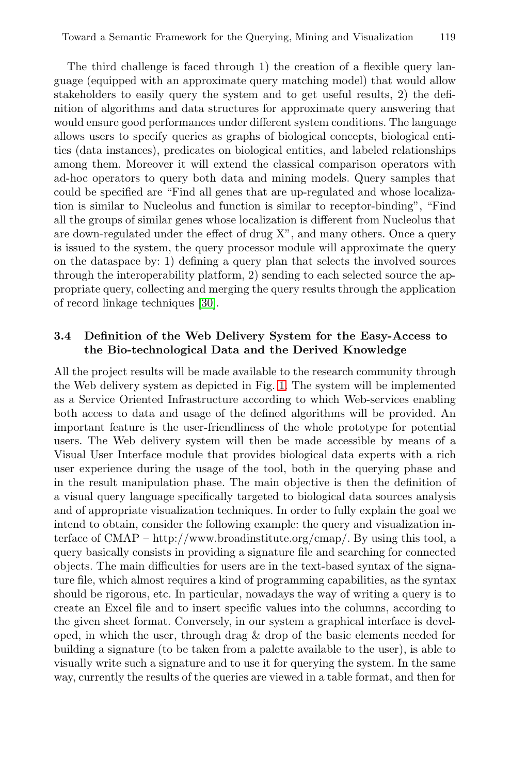The third challenge is faced through 1) the creation of a flexible query language (equipped with an approximate query matching model) that would allow stakeholders to easily query the system and to get useful results, 2) the definition of algorithms and data structures for approximate query answering that would ensure good performances under different system conditions. The language allows users to specify queries as graphs of biological concepts, biological entities (data instances), predicates on biological entities, and labeled relationships among them. Moreover it will extend the classical comparison operators with ad-hoc operators to query both data and mining models. Query samples that could be s[peci](#page-13-12)fied are "Find all genes that are up-regulated and whose localization is similar to Nucleolus and function is similar to receptor-binding", "Find all the groups of similar genes whose localization is different from Nucleolus that are down-regulated under the effect of drug X", and many others. Once a query is issued to the system, the query processor module will approximate the query on the dataspace by: 1) defining a query plan that selects the involved sources through the interoperabili[ty](#page-7-0) platform, 2) sending to each selected source the appropriate query, collecting and merging the query results through the application of record linkage techniques [30].

### **3.4 Definition of the Web Delivery System for the Easy-Access to the Bio-technological Data and the Derived Knowledge**

All the project results will be made available to the research community through the Web delivery system as depicted in Fig. 1. The system will be implemented as a Service Oriented Infrastructure according to which Web-services enabling both access to data and usage of the defined algorithms will be provided. An important feature is the user-friendliness of the whole prototype for potential users. The Web delivery system will then be made accessible by means of a Visual User Interface module that provides biological data experts with a rich user experience during the usage of the tool, both in the querying phase and in the result manipulation phase. The main objective is then the definition of a visual query language specifically targeted to biological data sources analysis and of appropriate visualization techniques. In order to fully explain the goal we intend to obtain, consider the following example: the query and visualization interface of CMAP – http://www.broadinstitute.org/cmap/. By using this tool, a query basically consists in providing a signature file and searching for connected objects. The main difficulties for users are in the text-based syntax of the signature file, which almost requires a kind of programming capabilities, as the syntax should be rigorous, etc. In particular, nowadays the way of writing a query is to create an Excel file and to insert specific values into the columns, according to the given sheet format. Conversely, in our system a graphical interface is developed, in which the user, through drag & drop of the basic elements needed for building a signature (to be taken from a palette available to the user), is able to visually write such a signature and to use it for querying the system. In the same way, currently the results of the queries are viewed in a table format, and then for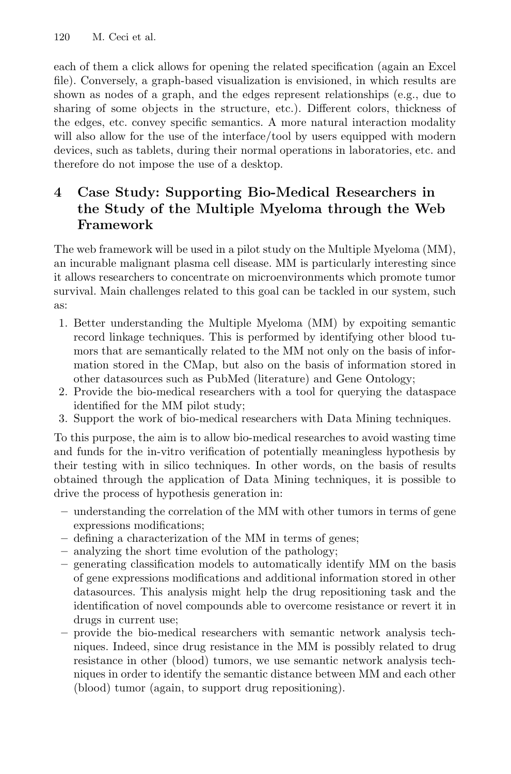each of them a click allows for opening the related specification (again an Excel file). Conversely, a graph-based visualization is envisioned, in which results are shown as nodes of a graph, and the edges represent relationships (e.g., due to sharing of some objects in the structure, etc.). Different colors, thickness of the edges, etc. convey specific semantics. A more natural interaction modality will also allow for the use of the interface/tool by users equipped with modern devices, such as tablets, during their normal operations in laboratories, etc. and therefore do not impose the use of a desktop.

## **4 Case Study: Supporting Bio-Medical Researchers in the Study of the Multiple Myeloma through the Web Framework**

The web framework will be used in a pilot study on the Multiple Myeloma (MM), an incurable malignant plasma cell disease. MM is particularly interesting since it allows researchers to concentrate on microenvironments which promote tumor survival. Main challenges related to this goal can be tackled in our system, such as:

- 1. Better understanding the Multiple Myeloma (MM) by expoiting semantic record linkage techniques. This is performed by identifying other blood tumors that are semantically related to the MM not only on the basis of information stored in the CMap, but also on the basis of information stored in other datasources such as PubMed (literature) and Gene Ontology;
- 2. Provide the bio-medical researchers with a tool for querying the dataspace identified for the MM pilot study;
- 3. Support the work of bio-medical researchers with Data Mining techniques.

To this purpose, the aim is to allow bio-medical researches to avoid wasting time and funds for the in-vitro verification of potentially meaningless hypothesis by their testing with in silico techniques. In other words, on the basis of results obtained through the application of Data Mining techniques, it is possible to drive the process of hypothesis generation in:

- **–** understanding the correlation of the MM with other tumors in terms of gene expressions modifications;
- **–** defining a characterization of the MM in terms of genes;
- **–** analyzing the short time evolution of the pathology;
- **–** generating classification models to automatically identify MM on the basis of gene expressions modifications and additional information stored in other datasources. This analysis might help the drug repositioning task and the identification of novel compounds able to overcome resistance or revert it in drugs in current use;
- **–** provide the bio-medical researchers with semantic network analysis techniques. Indeed, since drug resistance in the MM is possibly related to drug resistance in other (blood) tumors, we use semantic network analysis techniques in order to identify the semantic distance between MM and each other (blood) tumor (again, to support drug repositioning).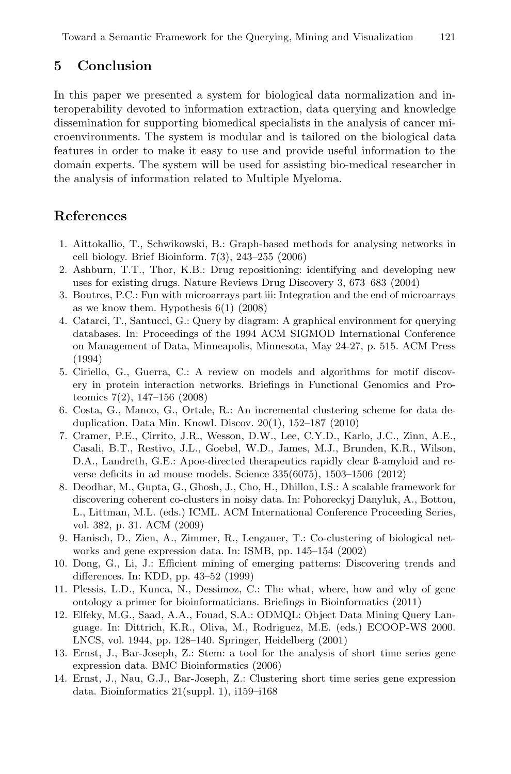### **5 Conclusion**

In this paper we presented a system for biological data normalization and interoperability devoted to information extraction, data querying and knowledge dissemination for supporting biomedical specialists in the analysis of cancer microenvironments. The system is modular and is tailored on the biological data features in order to make it easy to use and provide useful information to the domain experts. The system will be used for assisting bio-medical researcher in the analysis of information related to Multiple Myeloma.

### **References**

- <span id="page-12-5"></span>1. Aittokallio, T., Schwikowski, B.: Graph-based methods for analysing networks in cell biology. Brief Bioinform. 7(3), 243–255 (2006)
- 2. Ashburn, T.T., Thor, K.B.: Drug repositioning: identifying and developing new uses for existing drugs. Nature Reviews Drug Discovery 3, 673–683 (2004)
- <span id="page-12-0"></span>3. Boutros, P.C.: Fun with microarrays part iii: Integration and the end of microarrays as we know them. Hypothesis  $6(1)$   $(2008)$
- <span id="page-12-1"></span>4. Catarci, T., Santucci, G.: Query by diagram: A graphical environment for querying databases. In: Proceedings of the 1994 ACM SIGMOD International Conference on Management of Data, Minneapolis, Minnesota, May 24-27, p. 515. ACM Press (1994)
- <span id="page-12-2"></span>5. Ciriello, G., Guerra, C.: A review on models and algorithms for motif discovery in protein interaction networks. Briefings in Functional Genomics and Proteomics 7(2), 147–156 (2008)
- 6. Costa, G., Manco, G., Ortale, R.: An incremental clustering scheme for data deduplication. Data Min. Knowl. Discov. 20(1), 152–187 (2010)
- <span id="page-12-7"></span><span id="page-12-6"></span>7. Cramer, P.E., Cirrito, J.R., Wesson, D.W., Lee, C.Y.D., Karlo, J.C., Zinn, A.E., Casali, B.T., Restivo, J.L., Goebel, W.D., James, M.J., Brunden, K.R., Wilson, D.A., Landreth, G.E.: Apoe-directed therapeutics rapidly clear ß-amyloid and reverse deficits in ad mouse models. Science 335(6075), 1503–1506 (2012)
- <span id="page-12-4"></span>8. Deodhar, M., Gupta, G., Ghosh, J., Cho, H., Dhillon, I.S.: A scalable framework for discovering coherent co-clusters in noisy data. In: Pohoreckyj Danyluk, A., Bottou, L., Littman, M.L. (eds.) ICML. ACM International Conference Proceeding Series, vol. 382, p. 31. ACM (2009)
- 9. Hanisch, D., Zien, A., Zimmer, R., Lengauer, T.: Co-clustering of biological networks and gene expression data. In: ISMB, pp. 145–154 (2002)
- <span id="page-12-3"></span>10. Dong, G., Li, J.: Efficient mining of emerging patterns: Discovering trends and differences. In: KDD, pp. 43–52 (1999)
- 11. Plessis, L.D., Kunca, N., Dessimoz, C.: The what, where, how and why of gene ontology a primer for bioinformaticians. Briefings in Bioinformatics (2011)
- 12. Elfeky, M.G., Saad, A.A., Fouad, S.A.: ODMQL: Object Data Mining Query Language. In: Dittrich, K.R., Oliva, M., Rodriguez, M.E. (eds.) ECOOP-WS 2000. LNCS, vol. 1944, pp. 128–140. Springer, Heidelberg (2001)
- 13. Ernst, J., Bar-Joseph, Z.: Stem: a tool for the analysis of short time series gene expression data. BMC Bioinformatics (2006)
- 14. Ernst, J., Nau, G.J., Bar-Joseph, Z.: Clustering short time series gene expression data. Bioinformatics 21(suppl. 1), i159–i168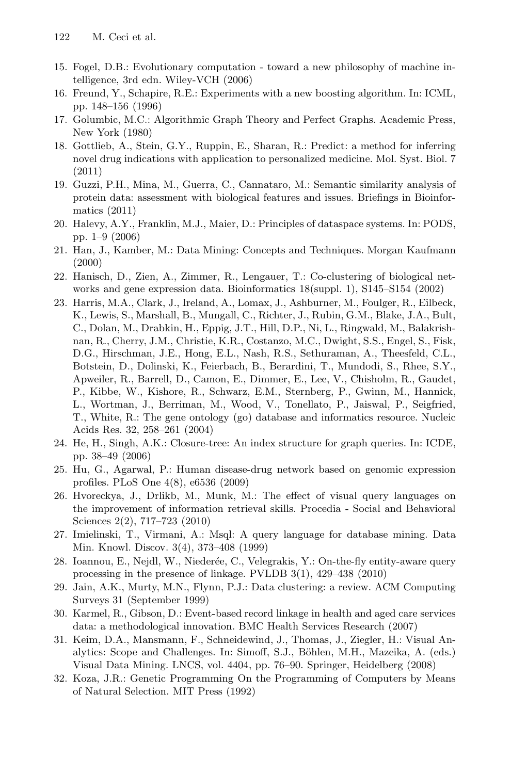- <span id="page-13-8"></span><span id="page-13-5"></span>15. Fogel, D.B.: Evolutionary computation - toward a new philosophy of machine intelligence, 3rd edn. Wiley-VCH (2006)
- 16. Freund, Y., Schapire, R.E.: Experiments with a new boosting algorithm. In: ICML, pp. 148–156 (1996)
- <span id="page-13-1"></span>17. Golumbic, M.C.: Algorithmic Graph Theory and Perfect Graphs. Academic Press, New York (1980)
- <span id="page-13-11"></span>18. Gottlieb, A., Stein, G.Y., Ruppin, E., Sharan, R.: Predict: a method for inferring novel drug indications with application to personalized medicine. Mol. Syst. Biol. 7 (2011)
- <span id="page-13-7"></span><span id="page-13-4"></span>19. Guzzi, P.H., Mina, M., Guerra, C., Cannataro, M.: Semantic similarity analysis of protein data: assessment with biological features and issues. Briefings in Bioinformatics (2011)
- 20. Halevy, A.Y., Franklin, M.J., Maier, D.: Principles of dataspace systems. In: PODS, pp. 1–9 (2006)
- 21. Han, J., Kamber, M.: Data Mining: Concepts and Techniques. Morgan Kaufmann (2000)
- 22. Hanisch, D., Zien, A., Zimmer, R., Lengauer, T.: Co-clustering of biological networks and gene expression data. Bioinformatics 18(suppl. 1), S145–S154 (2002)
- <span id="page-13-2"></span>23. Harris, M.A., Clark, J., Ireland, A., Lomax, J., Ashburner, M., Foulger, R., Eilbeck, K., Lewis, S., Marshall, B., Mungall, C., Richter, J., Rubin, G.M., Blake, J.A., Bult, C., Dolan, M., Drabkin, H., Eppig, J.T., Hill, D.P., Ni, L., Ringwald, M., Balakrishnan, R., Cherry, J.M., Christie, K.R., Costanzo, M.C., Dwight, S.S., Engel, S., Fisk, D.G., Hirschman, J.E., Hong, E.L., Nash, R.S., Sethuraman, A., Theesfeld, C.L., Botstein, D., Dolinski, K., Feierbach, B., Berardini, T., Mundodi, S., Rhee, S.Y., Apweiler, R., Barrell, D., Camon, E., Dimmer, E., Lee, V., Chisholm, R., Gaudet, P., Kibbe, W., Kishore, R., Schwarz, E.M., Sternberg, P., Gwinn, M., Hannick, L., Wortman, J., Berriman, M., Wood, V., Tonellato, P., Jaiswal, P., Seigfried, T., White, R.: The gene ontology (go) database and informatics resource. Nucleic Acids Res. 32, 258–261 (2004)
- <span id="page-13-9"></span><span id="page-13-3"></span>24. He, H., Singh, A.K.: Closure-tree: An index structure for graph queries. In: ICDE, pp. 38–49 (2006)
- <span id="page-13-0"></span>25. Hu, G., Agarwal, P.: Human disease-drug network based on genomic expression profiles. PLoS One 4(8), e6536 (2009)
- <span id="page-13-12"></span>26. Hvoreckya, J., Drlikb, M., Munk, M.: The effect of visual query languages on the improvement of information retrieval skills. Procedia - Social and Behavioral Sciences 2(2), 717–723 (2010)
- <span id="page-13-10"></span>27. Imielinski, T., Virmani, A.: Msql: A query language for database mining. Data Min. Knowl. Discov. 3(4), 373–408 (1999)
- <span id="page-13-6"></span>28. Ioannou, E., Nejdl, W., Niederée, C., Velegrakis, Y.: On-the-fly entity-aware query processing in the presence of linkage. PVLDB 3(1), 429–438 (2010)
- 29. Jain, A.K., Murty, M.N., Flynn, P.J.: Data clustering: a review. ACM Computing Surveys 31 (September 1999)
- 30. Karmel, R., Gibson, D.: Event-based record linkage in health and aged care services data: a methodological innovation. BMC Health Services Research (2007)
- 31. Keim, D.A., Mansmann, F., Schneidewind, J., Thomas, J., Ziegler, H.: Visual Analytics: Scope and Challenges. In: Simoff, S.J., B¨ohlen, M.H., Mazeika, A. (eds.) Visual Data Mining. LNCS, vol. 4404, pp. 76–90. Springer, Heidelberg (2008)
- 32. Koza, J.R.: Genetic Programming On the Programming of Computers by Means of Natural Selection. MIT Press (1992)